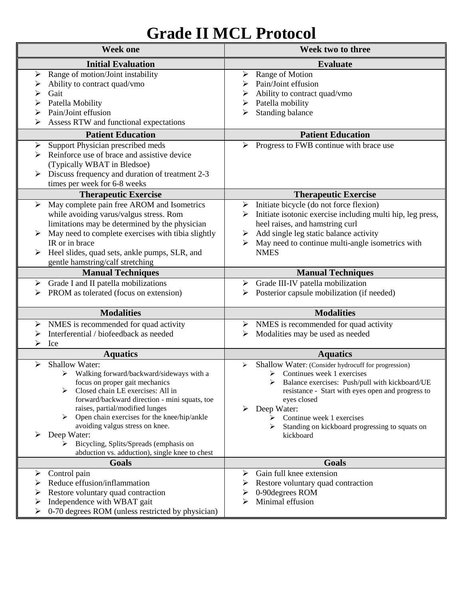## **Grade II MCL Protocol**

| <b>Week one</b>                                                                                                                                                                                                                                                                                                                                                                                                                                                     | Week two to three                                                                                                                                                                                                                                                                                                                                  |
|---------------------------------------------------------------------------------------------------------------------------------------------------------------------------------------------------------------------------------------------------------------------------------------------------------------------------------------------------------------------------------------------------------------------------------------------------------------------|----------------------------------------------------------------------------------------------------------------------------------------------------------------------------------------------------------------------------------------------------------------------------------------------------------------------------------------------------|
| <b>Initial Evaluation</b>                                                                                                                                                                                                                                                                                                                                                                                                                                           | <b>Evaluate</b>                                                                                                                                                                                                                                                                                                                                    |
| Range of motion/Joint instability<br>➤<br>Ability to contract quad/vmo<br>➤<br>Gait<br>➢<br>Patella Mobility<br>➤<br>Pain/Joint effusion<br>➢<br>Assess RTW and functional expectations                                                                                                                                                                                                                                                                             | Range of Motion<br>➤<br>Pain/Joint effusion<br>Ability to contract quad/vmo<br>Patella mobility<br>➤<br>Standing balance<br>⋗                                                                                                                                                                                                                      |
| <b>Patient Education</b>                                                                                                                                                                                                                                                                                                                                                                                                                                            | <b>Patient Education</b>                                                                                                                                                                                                                                                                                                                           |
| Support Physician prescribed meds<br>➤<br>Reinforce use of brace and assistive device<br>➤<br>(Typically WBAT in Bledsoe)<br>Discuss frequency and duration of treatment 2-3<br>➤<br>times per week for 6-8 weeks                                                                                                                                                                                                                                                   | Progress to FWB continue with brace use<br>⋗                                                                                                                                                                                                                                                                                                       |
| <b>Therapeutic Exercise</b>                                                                                                                                                                                                                                                                                                                                                                                                                                         | <b>Therapeutic Exercise</b>                                                                                                                                                                                                                                                                                                                        |
| May complete pain free AROM and Isometrics<br>≻<br>while avoiding varus/valgus stress. Rom<br>limitations may be determined by the physician<br>May need to complete exercises with tibia slightly<br>IR or in brace<br>Heel slides, quad sets, ankle pumps, SLR, and<br>➤<br>gentle hamstring/calf stretching                                                                                                                                                      | $\triangleright$ Initiate bicycle (do not force flexion)<br>Initiate isotonic exercise including multi hip, leg press,<br>heel raises, and hamstring curl<br>Add single leg static balance activity<br>➤<br>May need to continue multi-angle isometrics with<br>➤<br><b>NMES</b>                                                                   |
| <b>Manual Techniques</b>                                                                                                                                                                                                                                                                                                                                                                                                                                            | <b>Manual Techniques</b>                                                                                                                                                                                                                                                                                                                           |
| Grade I and II patella mobilizations<br>➤<br>PROM as tolerated (focus on extension)<br>➤                                                                                                                                                                                                                                                                                                                                                                            | Grade III-IV patella mobilization<br>➤<br>Posterior capsule mobilization (if needed)<br>⋗                                                                                                                                                                                                                                                          |
| <b>Modalities</b>                                                                                                                                                                                                                                                                                                                                                                                                                                                   | <b>Modalities</b>                                                                                                                                                                                                                                                                                                                                  |
| NMES is recommended for quad activity<br>➤<br>Interferential / biofeedback as needed<br>➤<br>⋗<br>Ice                                                                                                                                                                                                                                                                                                                                                               | $\triangleright$ NMES is recommended for quad activity<br>Modalities may be used as needed<br>➤                                                                                                                                                                                                                                                    |
| <b>Aquatics</b>                                                                                                                                                                                                                                                                                                                                                                                                                                                     | <b>Aquatics</b>                                                                                                                                                                                                                                                                                                                                    |
| <b>Shallow Water:</b><br>≻<br>$\triangleright$ Walking forward/backward/sideways with a<br>focus on proper gait mechanics<br>Closed chain LE exercises: All in<br>⋗<br>forward/backward direction - mini squats, toe<br>raises, partial/modified lunges<br>Open chain exercises for the knee/hip/ankle<br>➤<br>avoiding valgus stress on knee.<br>Deep Water:<br>➤<br>Bicycling, Splits/Spreads (emphasis on<br>➤<br>abduction vs. adduction), single knee to chest | Shallow Water: (Consider hydrocuff for progression)<br>➤<br>$\triangleright$ Continues week 1 exercises<br>Balance exercises: Push/pull with kickboard/UE<br>resistance - Start with eyes open and progress to<br>eyes closed<br>Deep Water:<br>➤<br>Continue week 1 exercises<br>⋗<br>Standing on kickboard progressing to squats on<br>kickboard |
| Goals                                                                                                                                                                                                                                                                                                                                                                                                                                                               | Goals                                                                                                                                                                                                                                                                                                                                              |
| Control pain<br>➤<br>Reduce effusion/inflammation<br>Restore voluntary quad contraction<br>➤<br>Independence with WBAT gait<br>➤<br>0-70 degrees ROM (unless restricted by physician)<br>➤                                                                                                                                                                                                                                                                          | Gain full knee extension<br>➤<br>Restore voluntary quad contraction<br>0-90 degrees ROM<br>Minimal effusion<br>⋗                                                                                                                                                                                                                                   |